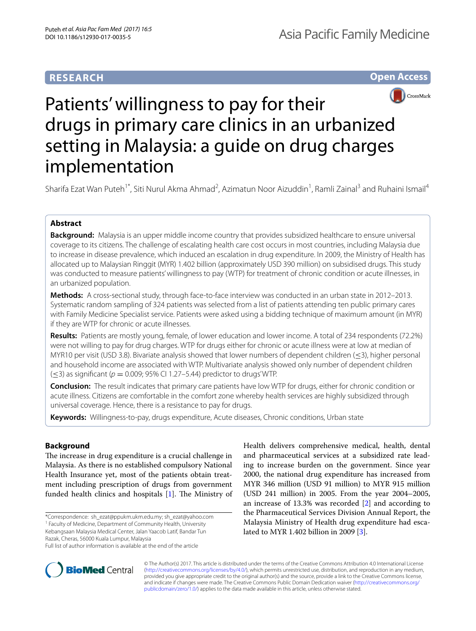## **RESEARCH**

**Open Access**



# Patients' willingness to pay for their drugs in primary care clinics in an urbanized setting in Malaysia: a guide on drug charges implementation

Sharifa Ezat Wan Puteh<sup>1\*</sup>, Siti Nurul Akma Ahmad<sup>2</sup>, Azimatun Noor Aizuddin<sup>1</sup>, Ramli Zainal<sup>3</sup> and Ruhaini Ismail<sup>4</sup>

## **Abstract**

**Background:** Malaysia is an upper middle income country that provides subsidized healthcare to ensure universal coverage to its citizens. The challenge of escalating health care cost occurs in most countries, including Malaysia due to increase in disease prevalence, which induced an escalation in drug expenditure. In 2009, the Ministry of Health has allocated up to Malaysian Ringgit (MYR) 1.402 billion (approximately USD 390 million) on subsidised drugs. This study was conducted to measure patients' willingness to pay (WTP) for treatment of chronic condition or acute illnesses, in an urbanized population.

**Methods:** A cross-sectional study, through face-to-face interview was conducted in an urban state in 2012–2013. Systematic random sampling of 324 patients was selected from a list of patients attending ten public primary cares with Family Medicine Specialist service. Patients were asked using a bidding technique of maximum amount (in MYR) if they are WTP for chronic or acute illnesses.

**Results:** Patients are mostly young, female, of lower education and lower income. A total of 234 respondents (72.2%) were not willing to pay for drug charges. WTP for drugs either for chronic or acute illness were at low at median of MYR10 per visit (USD 3.8). Bivariate analysis showed that lower numbers of dependent children (≤3), higher personal and household income are associated with WTP. Multivariate analysis showed only number of dependent children (≤3) as significant (*p* = 0.009; 95% CI 1.27–5.44) predictor to drugs' WTP.

**Conclusion:** The result indicates that primary care patients have low WTP for drugs, either for chronic condition or acute illness. Citizens are comfortable in the comfort zone whereby health services are highly subsidized through universal coverage. Hence, there is a resistance to pay for drugs.

**Keywords:** Willingness-to-pay, drugs expenditure, Acute diseases, Chronic conditions, Urban state

## **Background**

The increase in drug expenditure is a crucial challenge in Malaysia. As there is no established compulsory National Health Insurance yet, most of the patients obtain treatment including prescription of drugs from government funded health clinics and hospitals [\[1](#page-7-0)]. The Ministry of

\*Correspondence: sh\_ezat@ppukm.ukm.edu.my; sh\_ezat@yahoo.com <sup>1</sup> Faculty of Medicine, Department of Community Health, University Kebangsaan Malaysia Medical Center, Jalan Yaacob Latif, Bandar Tun Razak, Cheras, 56000 Kuala Lumpur, Malaysia

Health delivers comprehensive medical, health, dental and pharmaceutical services at a subsidized rate leading to increase burden on the government. Since year 2000, the national drug expenditure has increased from MYR 346 million (USD 91 million) to MYR 915 million (USD 241 million) in 2005. From the year 2004–2005, an increase of 13.3% was recorded [\[2](#page-7-1)] and according to the Pharmaceutical Services Division Annual Report, the Malaysia Ministry of Health drug expenditure had escalated to MYR 1.402 billion in 2009 [[3\]](#page-7-2).



© The Author(s) 2017. This article is distributed under the terms of the Creative Commons Attribution 4.0 International License [\(http://creativecommons.org/licenses/by/4.0/\)](http://creativecommons.org/licenses/by/4.0/), which permits unrestricted use, distribution, and reproduction in any medium, provided you give appropriate credit to the original author(s) and the source, provide a link to the Creative Commons license, and indicate if changes were made. The Creative Commons Public Domain Dedication waiver ([http://creativecommons.org/](http://creativecommons.org/publicdomain/zero/1.0/) [publicdomain/zero/1.0/](http://creativecommons.org/publicdomain/zero/1.0/)) applies to the data made available in this article, unless otherwise stated.

Full list of author information is available at the end of the article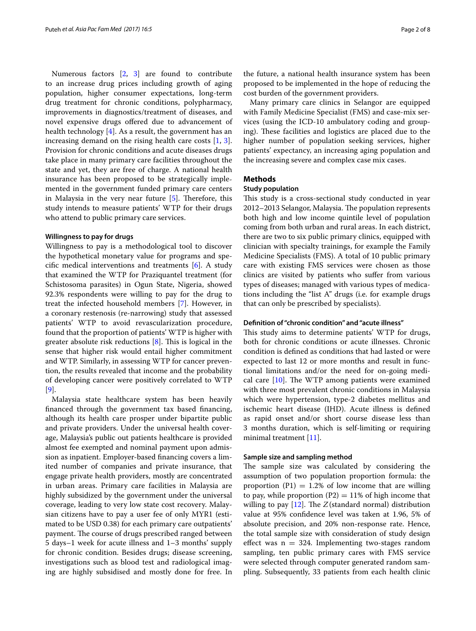Numerous factors [\[2,](#page-7-1) [3\]](#page-7-2) are found to contribute to an increase drug prices including growth of aging population, higher consumer expectations, long-term drug treatment for chronic conditions, polypharmacy, improvements in diagnostics/treatment of diseases, and novel expensive drugs offered due to advancement of health technology [[4\]](#page-7-3). As a result, the government has an increasing demand on the rising health care costs [[1,](#page-7-0) [3](#page-7-2)]. Provision for chronic conditions and acute diseases drugs take place in many primary care facilities throughout the state and yet, they are free of charge. A national health insurance has been proposed to be strategically implemented in the government funded primary care centers in Malaysia in the very near future [[5\]](#page-7-4). Therefore, this study intends to measure patients' WTP for their drugs who attend to public primary care services.

#### **Willingness to pay for drugs**

Willingness to pay is a methodological tool to discover the hypothetical monetary value for programs and specific medical interventions and treatments [\[6](#page-7-5)]. A study that examined the WTP for Praziquantel treatment (for Schistosoma parasites) in Ogun State, Nigeria, showed 92.3% respondents were willing to pay for the drug to treat the infected household members [[7\]](#page-7-6). However, in a coronary restenosis (re-narrowing) study that assessed patients' WTP to avoid revascularization procedure, found that the proportion of patients' WTP is higher with greater absolute risk reductions [[8](#page-7-7)]. This is logical in the sense that higher risk would entail higher commitment and WTP. Similarly, in assessing WTP for cancer prevention, the results revealed that income and the probability of developing cancer were positively correlated to WTP [[9\]](#page-7-8).

Malaysia state healthcare system has been heavily financed through the government tax based financing, although its health care prosper under bipartite public and private providers. Under the universal health coverage, Malaysia's public out patients healthcare is provided almost fee exempted and nominal payment upon admission as inpatient. Employer-based financing covers a limited number of companies and private insurance, that engage private health providers, mostly are concentrated in urban areas. Primary care facilities in Malaysia are highly subsidized by the government under the universal coverage, leading to very low state cost recovery. Malaysian citizens have to pay a user fee of only MYR1 (estimated to be USD 0.38) for each primary care outpatients' payment. The course of drugs prescribed ranged between 5 days–1 week for acute illness and 1–3 months' supply for chronic condition. Besides drugs; disease screening, investigations such as blood test and radiological imaging are highly subsidised and mostly done for free. In

the future, a national health insurance system has been proposed to be implemented in the hope of reducing the cost burden of the government providers.

Many primary care clinics in Selangor are equipped with Family Medicine Specialist (FMS) and case-mix services (using the ICD-10 ambulatory coding and grouping). These facilities and logistics are placed due to the higher number of population seeking services, higher patients' expectancy, an increasing aging population and the increasing severe and complex case mix cases.

## **Methods**

## **Study population**

This study is a cross-sectional study conducted in year 2012–2013 Selangor, Malaysia. The population represents both high and low income quintile level of population coming from both urban and rural areas. In each district, there are two to six public primary clinics, equipped with clinician with specialty trainings, for example the Family Medicine Specialists (FMS). A total of 10 public primary care with existing FMS services were chosen as those clinics are visited by patients who suffer from various types of diseases; managed with various types of medications including the "list A" drugs (i.e. for example drugs that can only be prescribed by specialists).

### **Definition of "chronic condition" and "acute illness"**

This study aims to determine patients' WTP for drugs, both for chronic conditions or acute illnesses. Chronic condition is defined as conditions that had lasted or were expected to last 12 or more months and result in functional limitations and/or the need for on-going medical care [[10\]](#page-7-9). The WTP among patients were examined with three most prevalent chronic conditions in Malaysia which were hypertension, type-2 diabetes mellitus and ischemic heart disease (IHD). Acute illness is defined as rapid onset and/or short course disease less than 3 months duration, which is self-limiting or requiring minimal treatment [\[11\]](#page-7-10).

## **Sample size and sampling method**

The sample size was calculated by considering the assumption of two population proportion formula: the proportion  $(P1) = 1.2%$  of low income that are willing to pay, while proportion  $(P2) = 11\%$  of high income that willing to pay [\[12](#page-7-11)]. The *Z*(standard normal) distribution value at 95% confidence level was taken at 1.96, 5% of absolute precision, and 20% non-response rate. Hence, the total sample size with consideration of study design effect was  $n = 324$ . Implementing two-stages random sampling, ten public primary cares with FMS service were selected through computer generated random sampling. Subsequently, 33 patients from each health clinic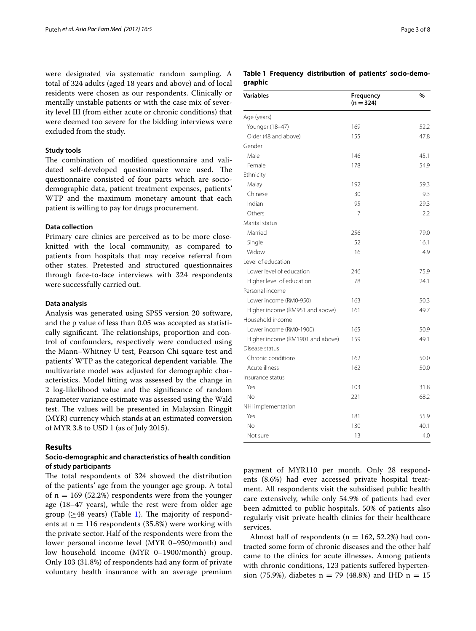were designated via systematic random sampling. A total of 324 adults (aged 18 years and above) and of local residents were chosen as our respondents. Clinically or mentally unstable patients or with the case mix of severity level III (from either acute or chronic conditions) that were deemed too severe for the bidding interviews were excluded from the study.

## **Study tools**

The combination of modified questionnaire and validated self-developed questionnaire were used. The questionnaire consisted of four parts which are sociodemographic data, patient treatment expenses, patients' WTP and the maximum monetary amount that each patient is willing to pay for drugs procurement.

## **Data collection**

Primary care clinics are perceived as to be more closeknitted with the local community, as compared to patients from hospitals that may receive referral from other states. Pretested and structured questionnaires through face-to-face interviews with 324 respondents were successfully carried out.

## **Data analysis**

Analysis was generated using SPSS version 20 software, and the p value of less than 0.05 was accepted as statistically significant. The relationships, proportion and control of confounders, respectively were conducted using the Mann–Whitney U test, Pearson Chi square test and patients' WTP as the categorical dependent variable. The multivariate model was adjusted for demographic characteristics. Model fitting was assessed by the change in 2 log-likelihood value and the significance of random parameter variance estimate was assessed using the Wald test. The values will be presented in Malaysian Ringgit (MYR) currency which stands at an estimated conversion of MYR 3.8 to USD 1 (as of July 2015).

## **Results**

## **Socio‑demographic and characteristics of health condition of study participants**

The total respondents of 324 showed the distribution of the patients' age from the younger age group. A total of  $n = 169$  (52.2%) respondents were from the younger age (18–47 years), while the rest were from older age group ( $\geq$ 48 years) (Table [1](#page-2-0)). The majority of respondents at  $n = 116$  respondents (35.8%) were working with the private sector. Half of the respondents were from the lower personal income level (MYR 0–950/month) and low household income (MYR 0–1900/month) group. Only 103 (31.8%) of respondents had any form of private voluntary health insurance with an average premium

## <span id="page-2-0"></span>**Table 1 Frequency distribution of patients' socio-demographic**

| <b>Variables</b>                 | Frequency<br>$(n = 324)$ | %    |
|----------------------------------|--------------------------|------|
| Age (years)                      |                          |      |
| Younger (18-47)                  | 169                      | 52.2 |
| Older (48 and above)             | 155                      | 47.8 |
| Gender                           |                          |      |
| Male                             | 146                      | 45.1 |
| Female                           | 178                      | 54.9 |
| Ethnicity                        |                          |      |
| Malay                            | 192                      | 59.3 |
| Chinese                          | 30                       | 9.3  |
| Indian                           | 95                       | 29.3 |
| Others                           | 7                        | 2.2  |
| Marital status                   |                          |      |
| Married                          | 256                      | 79.0 |
| Single                           | 52                       | 16.1 |
| Widow                            | 16                       | 4.9  |
| Level of education               |                          |      |
| Lower level of education         | 246                      | 75.9 |
| Higher level of education        | 78                       | 24.1 |
| Personal income                  |                          |      |
| Lower income (RM0-950)           | 163                      | 50.3 |
| Higher income (RM951 and above)  | 161                      | 49.7 |
| Household income                 |                          |      |
| Lower income (RM0-1900)          | 165                      | 50.9 |
| Higher income (RM1901 and above) | 159                      | 49.1 |
| Disease status                   |                          |      |
| Chronic conditions               | 162                      | 50.0 |
| Acute illness                    | 162                      | 50.0 |
| Insurance status                 |                          |      |
| Yes                              | 103                      | 31.8 |
| Nο                               | 221                      | 68.2 |
| NHI implementation               |                          |      |
| Yes                              | 181                      | 55.9 |
| No                               | 130                      | 40.1 |
| Not sure                         | 13                       | 4.0  |

payment of MYR110 per month. Only 28 respondents (8.6%) had ever accessed private hospital treatment. All respondents visit the subsidised public health care extensively, while only 54.9% of patients had ever been admitted to public hospitals. 50% of patients also regularly visit private health clinics for their healthcare services.

Almost half of respondents ( $n = 162, 52.2%$ ) had contracted some form of chronic diseases and the other half came to the clinics for acute illnesses. Among patients with chronic conditions, 123 patients suffered hypertension (75.9%), diabetes  $n = 79$  (48.8%) and IHD  $n = 15$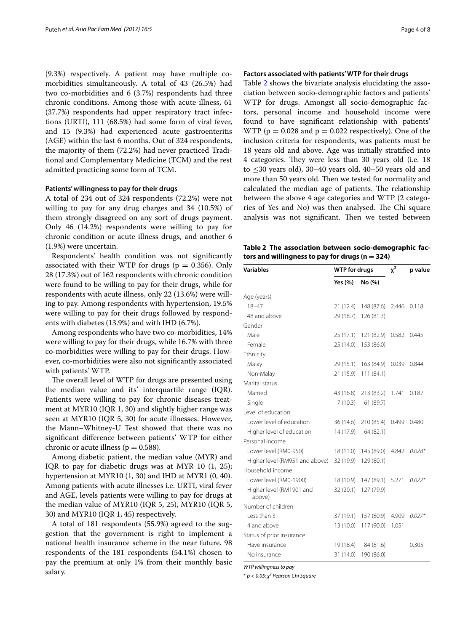(9.3%) respectively. A patient may have multiple comorbidities simultaneously. A total of 43 (26.5%) had two co-morbidities and 6 (3.7%) respondents had three chronic conditions. Among those with acute illness, 61 (37.7%) respondents had upper respiratory tract infections (URTI), 111 (68.5%) had some form of viral fever, and 15 (9.3%) had experienced acute gastroenteritis (AGE) within the last 6 months. Out of 324 respondents, the majority of them (72.2%) had never practiced Traditional and Complementary Medicine (TCM) and the rest admitted practicing some form of TCM.

## **Patients' willingness to pay for their drugs**

A total of 234 out of 324 respondents (72.2%) were not willing to pay for any drug charges and 34 (10.5%) of them strongly disagreed on any sort of drugs payment. Only 46 (14.2%) respondents were willing to pay for chronic condition or acute illness drugs, and another 6 (1.9%) were uncertain.

Respondents' health condition was not significantly associated with their WTP for drugs ( $p = 0.356$ ). Only 28 (17.3%) out of 162 respondents with chronic condition were found to be willing to pay for their drugs, while for respondents with acute illness, only 22 (13.6%) were willing to pay. Among respondents with hypertension, 19.5% were willing to pay for their drugs followed by respondents with diabetes (13.9%) and with IHD (6.7%).

Among respondents who have two co-morbidities, 14% were willing to pay for their drugs, while 16.7% with three co-morbidities were willing to pay for their drugs. However, co-morbidities were also not significantly associated with patients' WTP.

The overall level of WTP for drugs are presented using the median value and its' interquartile range (IQR). Patients were willing to pay for chronic diseases treatment at MYR10 (IQR 1, 30) and slightly higher range was seen at MYR10 (IQR 5, 30) for acute illnesses. However, the Mann–Whitney-U Test showed that there was no significant difference between patients' WTP for either chronic or acute illness ( $p = 0.588$ ).

Among diabetic patient, the median value (MYR) and IQR to pay for diabetic drugs was at MYR 10 (1, 25); hypertension at MYR10 (1, 30) and IHD at MYR1 (0, 40). Among patients with acute illnesses i.e. URTI, viral fever and AGE, levels patients were willing to pay for drugs at the median value of MYR10 (IQR 5, 25), MYR10 (IQR 5, 30) and MYR10 (IQR 1, 45) respectively.

A total of 181 respondents (55.9%) agreed to the suggestion that the government is right to implement a national health insurance scheme in the near future. 98 respondents of the 181 respondents (54.1%) chosen to pay the premium at only 1% from their monthly basic salary.

## **Factors associated with patients' WTP for their drugs**

Table [2](#page-3-0) shows the bivariate analysis elucidating the association between socio-demographic factors and patients' WTP for drugs. Amongst all socio-demographic factors, personal income and household income were found to have significant relationship with patients' WTP ( $p = 0.028$  and  $p = 0.022$  respectively). One of the inclusion criteria for respondents, was patients must be 18 years old and above. Age was initially stratified into 4 categories. They were less than 30 years old (i.e. 18 to ≤30 years old), 30–40 years old, 40–50 years old and more than 50 years old. Then we tested for normality and calculated the median age of patients. The relationship between the above 4 age categories and WTP (2 categories of Yes and No) was then analysed. The Chi square analysis was not significant. Then we tested between

<span id="page-3-0"></span>**Table 2 The association between socio-demographic factors and willingness to pay for drugs (n = 324)**

| <b>Variables</b>                   | <b>WTP</b> for drugs |                      | $x^2$ | p value  |  |
|------------------------------------|----------------------|----------------------|-------|----------|--|
|                                    | Yes (%)<br>No (%)    |                      |       |          |  |
| Age (years)                        |                      |                      |       |          |  |
| $18 - 47$                          | 21(12.4)             | 148 (87.6)           | 2.446 | 0.118    |  |
| 48 and above                       | 29 (18.7)            | 126 (81.3)           |       |          |  |
| Gender                             |                      |                      |       |          |  |
| Male                               | 25(17.1)             | 121 (82.9)           | 0.582 | 0.445    |  |
| Female                             | 25 (14.0)            | 153 (86.0)           |       |          |  |
| Ethnicity                          |                      |                      |       |          |  |
| Malay                              | 29 (15.1)            | 163 (84.9)           | 0.039 | 0.844    |  |
| Non-Malay                          | 21 (15.9)            | 111 (84.1)           |       |          |  |
| Marital status                     |                      |                      |       |          |  |
| Married                            | 43 (16.8)            | 213 (83.2)           | 1.741 | 0.187    |  |
| Single                             | 7(10.3)              | 61 (89.7)            |       |          |  |
| Level of education                 |                      |                      |       |          |  |
| Lower level of education           | 36 (14.6)            | 210 (85.4)           | 0.499 | 0.480    |  |
| Higher level of education          | 14 (17.9)            | 64 (82.1)            |       |          |  |
| Personal income                    |                      |                      |       |          |  |
| Lower level (RM0-950)              | 18 (11.0)            | 145 (89.0)           | 4.842 | $0.028*$ |  |
| Higher level (RM951 and above)     | 32 (19.9)            | 129 (80.1)           |       |          |  |
| Household income                   |                      |                      |       |          |  |
| Lower level (RM0-1900)             | 18 (10.9)            | 147 (89.1)           | 5.271 | $0.022*$ |  |
| Higher level (RM1901 and<br>above) | 32(20.1)             | 127 (79.9)           |       |          |  |
| Number of children                 |                      |                      |       |          |  |
| Less than 3                        |                      | 37 (19.1) 157 (80.9) | 4.909 | $0.027*$ |  |
| 4 and above                        | 13(10.0)             | 117 (90.0)           | 1.051 |          |  |
| Status of prior insurance          |                      |                      |       |          |  |
| Have insurance                     | 19 (18.4)            | 84 (81.6)            |       | 0.305    |  |
| No insurance                       | 31 (14.0)            | 190 (86.0)           |       |          |  |

*WTP willingness to pay*

\* *p* < *0.05; χ2 Pearson Chi Square*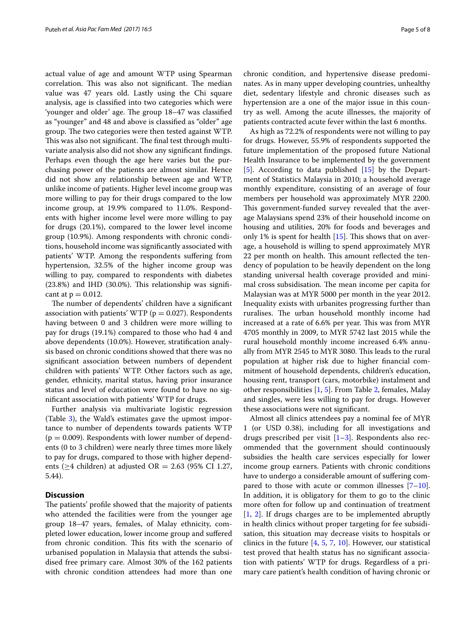actual value of age and amount WTP using Spearman correlation. This was also not significant. The median value was 47 years old. Lastly using the Chi square analysis, age is classified into two categories which were 'younger and older' age. The group 18–47 was classified as "younger" and 48 and above is classified as "older" age group. The two categories were then tested against WTP. This was also not significant. The final test through multivariate analysis also did not show any significant findings. Perhaps even though the age here varies but the purchasing power of the patients are almost similar. Hence did not show any relationship between age and WTP, unlike income of patients. Higher level income group was more willing to pay for their drugs compared to the low income group, at 19.9% compared to 11.0%. Respondents with higher income level were more willing to pay for drugs (20.1%), compared to the lower level income group (10.9%). Among respondents with chronic conditions, household income was significantly associated with patients' WTP. Among the respondents suffering from hypertension, 32.5% of the higher income group was willing to pay, compared to respondents with diabetes (23.8%) and IHD (30.0%). This relationship was significant at  $p = 0.012$ .

The number of dependents' children have a significant association with patients' WTP ( $p = 0.027$ ). Respondents having between 0 and 3 children were more willing to pay for drugs (19.1%) compared to those who had 4 and above dependents (10.0%). However, stratification analysis based on chronic conditions showed that there was no significant association between numbers of dependent children with patients' WTP. Other factors such as age, gender, ethnicity, marital status, having prior insurance status and level of education were found to have no significant association with patients' WTP for drugs.

Further analysis via multivariate logistic regression (Table [3\)](#page-5-0), the Wald's estimates gave the upmost importance to number of dependents towards patients WTP  $(p = 0.009)$ . Respondents with lower number of dependents (0 to 3 children) were nearly three times more likely to pay for drugs, compared to those with higher dependents ( $\geq$ 4 children) at adjusted OR = 2.63 (95% CI 1.27, 5.44).

## **Discussion**

The patients' profile showed that the majority of patients who attended the facilities were from the younger age group 18–47 years, females, of Malay ethnicity, completed lower education, lower income group and suffered from chronic condition. This fits with the scenario of urbanised population in Malaysia that attends the subsidised free primary care. Almost 30% of the 162 patients with chronic condition attendees had more than one

chronic condition, and hypertensive disease predominates. As in many upper developing countries, unhealthy diet, sedentary lifestyle and chronic diseases such as hypertension are a one of the major issue in this country as well. Among the acute illnesses, the majority of patients contracted acute fever within the last 6 months.

As high as 72.2% of respondents were not willing to pay for drugs. However, 55.9% of respondents supported the future implementation of the proposed future National Health Insurance to be implemented by the government [[5\]](#page-7-4). According to data published [\[15](#page-7-12)] by the Department of Statistics Malaysia in 2010; a household average monthly expenditure, consisting of an average of four members per household was approximately MYR 2200. This government-funded survey revealed that the average Malaysians spend 23% of their household income on housing and utilities, 20% for foods and beverages and only 1% is spent for health [[15\]](#page-7-12). This shows that on average, a household is willing to spend approximately MYR 22 per month on health. This amount reflected the tendency of population to be heavily dependent on the long standing universal health coverage provided and minimal cross subsidisation. The mean income per capita for Malaysian was at MYR 5000 per month in the year 2012. Inequality exists with urbanites progressing further than ruralises. The urban household monthly income had increased at a rate of 6.6% per year. This was from MYR 4705 monthly in 2009, to MYR 5742 last 2015 while the rural household monthly income increased 6.4% annually from MYR 2545 to MYR 3080. This leads to the rural population at higher risk due to higher financial commitment of household dependents, children's education, housing rent, transport (cars, motorbike) instalment and other responsibilities [\[1](#page-7-0), [5\]](#page-7-4). From Table [2](#page-3-0), females, Malay and singles, were less willing to pay for drugs. However these associations were not significant.

Almost all clinics attendees pay a nominal fee of MYR 1 (or USD 0.38), including for all investigations and drugs prescribed per visit  $[1-3]$  $[1-3]$ . Respondents also recommended that the government should continuously subsidies the health care services especially for lower income group earners. Patients with chronic conditions have to undergo a considerable amount of suffering compared to those with acute or common illnesses  $[7-10]$  $[7-10]$ . In addition, it is obligatory for them to go to the clinic more often for follow up and continuation of treatment [[1,](#page-7-0) [2\]](#page-7-1). If drugs charges are to be implemented abruptly in health clinics without proper targeting for fee subsidisation, this situation may decrease visits to hospitals or clinics in the future  $[4, 5, 7, 10]$  $[4, 5, 7, 10]$  $[4, 5, 7, 10]$  $[4, 5, 7, 10]$  $[4, 5, 7, 10]$  $[4, 5, 7, 10]$  $[4, 5, 7, 10]$ . However, our statistical test proved that health status has no significant association with patients' WTP for drugs. Regardless of a primary care patient's health condition of having chronic or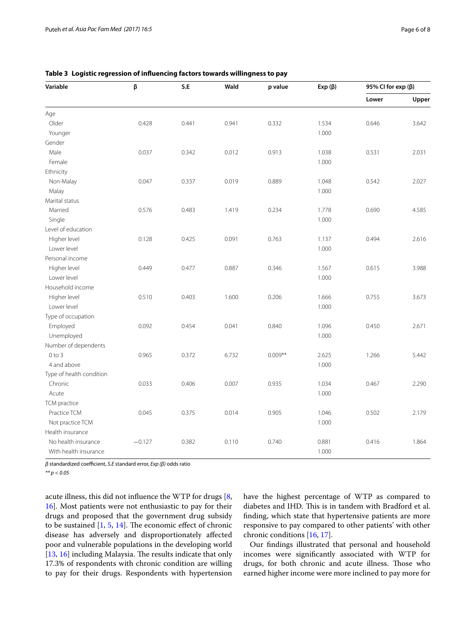| Variable                 | β        | S.E   | Wald  | p value   | $Exp(\beta)$ | 95% CI for $exp( \beta )$ |       |
|--------------------------|----------|-------|-------|-----------|--------------|---------------------------|-------|
|                          |          |       |       |           |              | Lower                     | Upper |
| Age                      |          |       |       |           |              |                           |       |
| Older                    | 0.428    | 0.441 | 0.941 | 0.332     | 1.534        | 0.646                     | 3.642 |
| Younger                  |          |       |       |           | 1.000        |                           |       |
| Gender                   |          |       |       |           |              |                           |       |
| Male                     | 0.037    | 0.342 | 0.012 | 0.913     | 1.038        | 0.531                     | 2.031 |
| Female                   |          |       |       |           | 1.000        |                           |       |
| Ethnicity                |          |       |       |           |              |                           |       |
| Non-Malay                | 0.047    | 0.337 | 0.019 | 0.889     | 1.048        | 0.542                     | 2.027 |
| Malay                    |          |       |       |           | 1.000        |                           |       |
| Marital status           |          |       |       |           |              |                           |       |
| Married                  | 0.576    | 0.483 | 1.419 | 0.234     | 1.778        | 0.690                     | 4.585 |
| Single                   |          |       |       |           | 1.000        |                           |       |
| Level of education       |          |       |       |           |              |                           |       |
| Higher level             | 0.128    | 0.425 | 0.091 | 0.763     | 1.137        | 0.494                     | 2.616 |
| Lower level              |          |       |       |           | 1.000        |                           |       |
| Personal income          |          |       |       |           |              |                           |       |
| Higher level             | 0.449    | 0.477 | 0.887 | 0.346     | 1.567        | 0.615                     | 3.988 |
| Lower level              |          |       |       |           | 1.000        |                           |       |
| Household income         |          |       |       |           |              |                           |       |
| Higher level             | 0.510    | 0.403 | 1.600 | 0.206     | 1.666        | 0.755                     | 3.673 |
| Lower level              |          |       |       |           | 1.000        |                           |       |
| Type of occupation       |          |       |       |           |              |                           |       |
| Employed                 | 0.092    | 0.454 | 0.041 | 0.840     | 1.096        | 0.450                     | 2.671 |
| Unemployed               |          |       |       |           | 1.000        |                           |       |
| Number of dependents     |          |       |       |           |              |                           |       |
| $0$ to $3$               | 0.965    | 0.372 | 6.732 | $0.009**$ | 2.625        | 1.266                     | 5.442 |
| 4 and above              |          |       |       |           | 1.000        |                           |       |
| Type of health condition |          |       |       |           |              |                           |       |
| Chronic                  | 0.033    | 0.406 | 0.007 | 0.935     | 1.034        | 0.467                     | 2.290 |
| Acute                    |          |       |       |           | 1.000        |                           |       |
| TCM practice             |          |       |       |           |              |                           |       |
| Practice TCM             | 0.045    | 0.375 | 0.014 | 0.905     | 1.046        | 0.502                     | 2.179 |
| Not practice TCM         |          |       |       |           | 1.000        |                           |       |
| Health insurance         |          |       |       |           |              |                           |       |
| No health insurance      | $-0.127$ | 0.382 | 0.110 | 0.740     | 0.881        | 0.416                     | 1.864 |
| With health insurance    |          |       |       |           | 1.000        |                           |       |

<span id="page-5-0"></span>**Table 3 Logistic regression of influencing factors towards willingness to pay**

*β* standardized coefficient, *S.E* standard error, *Exp (β)* odds ratio

*\*\* p* < *0.05*

acute illness, this did not influence the WTP for drugs [\[8](#page-7-7), [16\]](#page-7-13). Most patients were not enthusiastic to pay for their drugs and proposed that the government drug subsidy to be sustained [[1,](#page-7-0) [5,](#page-7-4) [14](#page-7-14)]. The economic effect of chronic disease has adversely and disproportionately affected poor and vulnerable populations in the developing world [[13,](#page-7-15) [16](#page-7-13)] including Malaysia. The results indicate that only 17.3% of respondents with chronic condition are willing to pay for their drugs. Respondents with hypertension have the highest percentage of WTP as compared to diabetes and IHD. This is in tandem with Bradford et al. finding, which state that hypertensive patients are more responsive to pay compared to other patients' with other chronic conditions [[16,](#page-7-13) [17](#page-7-16)].

Our findings illustrated that personal and household incomes were significantly associated with WTP for drugs, for both chronic and acute illness. Those who earned higher income were more inclined to pay more for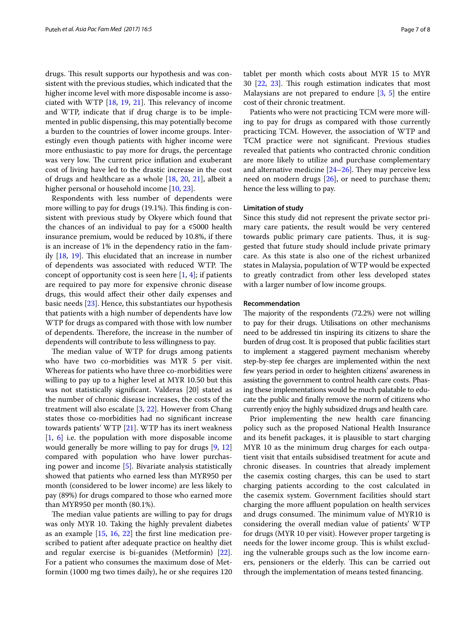drugs. This result supports our hypothesis and was consistent with the previous studies, which indicated that the higher income level with more disposable income is associated with WTP [[18](#page-7-17), [19,](#page-7-18) [21](#page-7-19)]. This relevancy of income and WTP, indicate that if drug charge is to be implemented in public dispensing, this may potentially become a burden to the countries of lower income groups. Interestingly even though patients with higher income were more enthusiastic to pay more for drugs, the percentage was very low. The current price inflation and exuberant cost of living have led to the drastic increase in the cost of drugs and healthcare as a whole [\[18](#page-7-17), [20,](#page-7-20) [21](#page-7-19)], albeit a higher personal or household income [[10](#page-7-9), [23\]](#page-7-21).

Respondents with less number of dependents were more willing to pay for drugs (19.1%). This finding is consistent with previous study by Okyere which found that the chances of an individual to pay for a ¢5000 health insurance premium, would be reduced by 10.8%, if there is an increase of 1% in the dependency ratio in the family [\[18](#page-7-17), [19\]](#page-7-18). This elucidated that an increase in number of dependents was associated with reduced WTP. The concept of opportunity cost is seen here  $[1, 4]$  $[1, 4]$  $[1, 4]$ ; if patients are required to pay more for expensive chronic disease drugs, this would affect their other daily expenses and basic needs [[23\]](#page-7-21). Hence, this substantiates our hypothesis that patients with a high number of dependents have low WTP for drugs as compared with those with low number of dependents. Therefore, the increase in the number of dependents will contribute to less willingness to pay.

The median value of WTP for drugs among patients who have two co-morbidities was MYR 5 per visit. Whereas for patients who have three co-morbidities were willing to pay up to a higher level at MYR 10.50 but this was not statistically significant. Valderas [20] stated as the number of chronic disease increases, the costs of the treatment will also escalate [[3,](#page-7-2) [22](#page-7-22)]. However from Chang states those co-morbidities had no significant increase towards patients' WTP [[21\]](#page-7-19). WTP has its inert weakness [[1,](#page-7-0) [6](#page-7-5)] i.e. the population with more disposable income would generally be more willing to pay for drugs [\[9](#page-7-8), [12](#page-7-11)] compared with population who have lower purchasing power and income [[5\]](#page-7-4). Bivariate analysis statistically showed that patients who earned less than MYR950 per month (considered to be lower income) are less likely to pay (89%) for drugs compared to those who earned more than MYR950 per month (80.1%).

The median value patients are willing to pay for drugs was only MYR 10. Taking the highly prevalent diabetes as an example [\[15](#page-7-12), [16,](#page-7-13) [22](#page-7-22)] the first line medication prescribed to patient after adequate practice on healthy diet and regular exercise is bi-guanides (Metformin) [\[22](#page-7-22)]. For a patient who consumes the maximum dose of Metformin (1000 mg two times daily), he or she requires 120 tablet per month which costs about MYR 15 to MYR 30 [\[22](#page-7-22), [23\]](#page-7-21). This rough estimation indicates that most Malaysians are not prepared to endure  $[3, 5]$  $[3, 5]$  $[3, 5]$  $[3, 5]$  the entire cost of their chronic treatment.

Patients who were not practicing TCM were more willing to pay for drugs as compared with those currently practicing TCM. However, the association of WTP and TCM practice were not significant. Previous studies revealed that patients who contracted chronic condition are more likely to utilize and purchase complementary and alternative medicine  $[24–26]$  $[24–26]$  $[24–26]$  $[24–26]$ . They may perceive less need on modern drugs [\[26\]](#page-7-24), or need to purchase them; hence the less willing to pay.

## **Limitation of study**

Since this study did not represent the private sector primary care patients, the result would be very centered towards public primary care patients. Thus, it is suggested that future study should include private primary care. As this state is also one of the richest urbanized states in Malaysia, population of WTP would be expected to greatly contradict from other less developed states with a larger number of low income groups.

## **Recommendation**

The majority of the respondents (72.2%) were not willing to pay for their drugs. Utilisations on other mechanisms need to be addressed tin inspiring its citizens to share the burden of drug cost. It is proposed that public facilities start to implement a staggered payment mechanism whereby step-by-step fee charges are implemented within the next few years period in order to heighten citizens' awareness in assisting the government to control health care costs. Phasing these implementations would be much palatable to educate the public and finally remove the norm of citizens who currently enjoy the highly subsidized drugs and health care.

Prior implementing the new health care financing policy such as the proposed National Health Insurance and its benefit packages, it is plausible to start charging MYR 10 as the minimum drug charges for each outpatient visit that entails subsidised treatment for acute and chronic diseases. In countries that already implement the casemix costing charges, this can be used to start charging patients according to the cost calculated in the casemix system. Government facilities should start charging the more affluent population on health services and drugs consumed. The minimum value of MYR10 is considering the overall median value of patients' WTP for drugs (MYR 10 per visit). However proper targeting is needs for the lower income group. This is whilst excluding the vulnerable groups such as the low income earners, pensioners or the elderly. This can be carried out through the implementation of means tested financing.